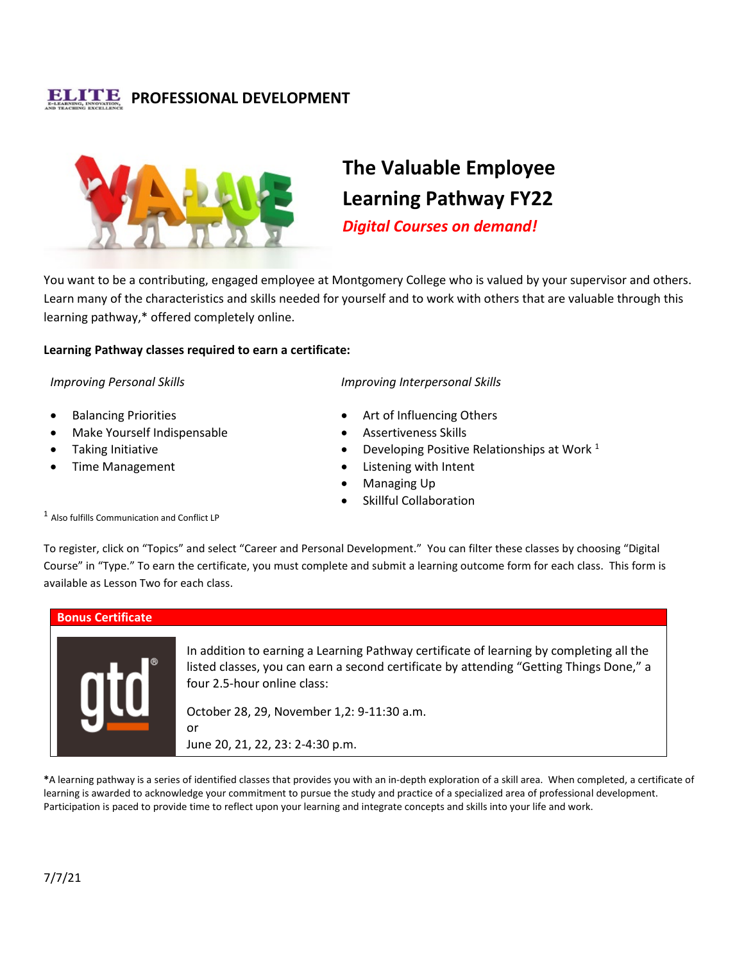## **PROFESSIONAL DEVELOPMENT**



# **The Valuable Employee Learning Pathway FY22**

*Digital Courses on demand!*

You want to be a contributing, engaged employee at Montgomery College who is valued by your supervisor and others. Learn many of the characteristics and skills needed for yourself and to work with others that are valuable through this learning pathway,\* offered completely online.

### **Learning Pathway classes required to earn a certificate:**

### *Improving Personal Skills*

- Balancing Priorities
- Make Yourself Indispensable
- Taking Initiative
- Time Management

### *Improving Interpersonal Skills*

- Art of Influencing Others
- Assertiveness Skills
- Developing Positive Relationships at Work 1
- Listening with Intent
- Managing Up
- **Skillful Collaboration**

<sup>1</sup> Also fulfills Communication and Conflict LP

To register, click on "Topics" and select "Career and Personal Development." You can filter these classes by choosing "Digital Course" in "Type." To earn the certificate, you must complete and submit a learning outcome form for each class. This form is available as Lesson Two for each class.



**\***A learning pathway is a series of identified classes that provides you with an in-depth exploration of a skill area. When completed, a certificate of learning is awarded to acknowledge your commitment to pursue the study and practice of a specialized area of professional development. Participation is paced to provide time to reflect upon your learning and integrate concepts and skills into your life and work.